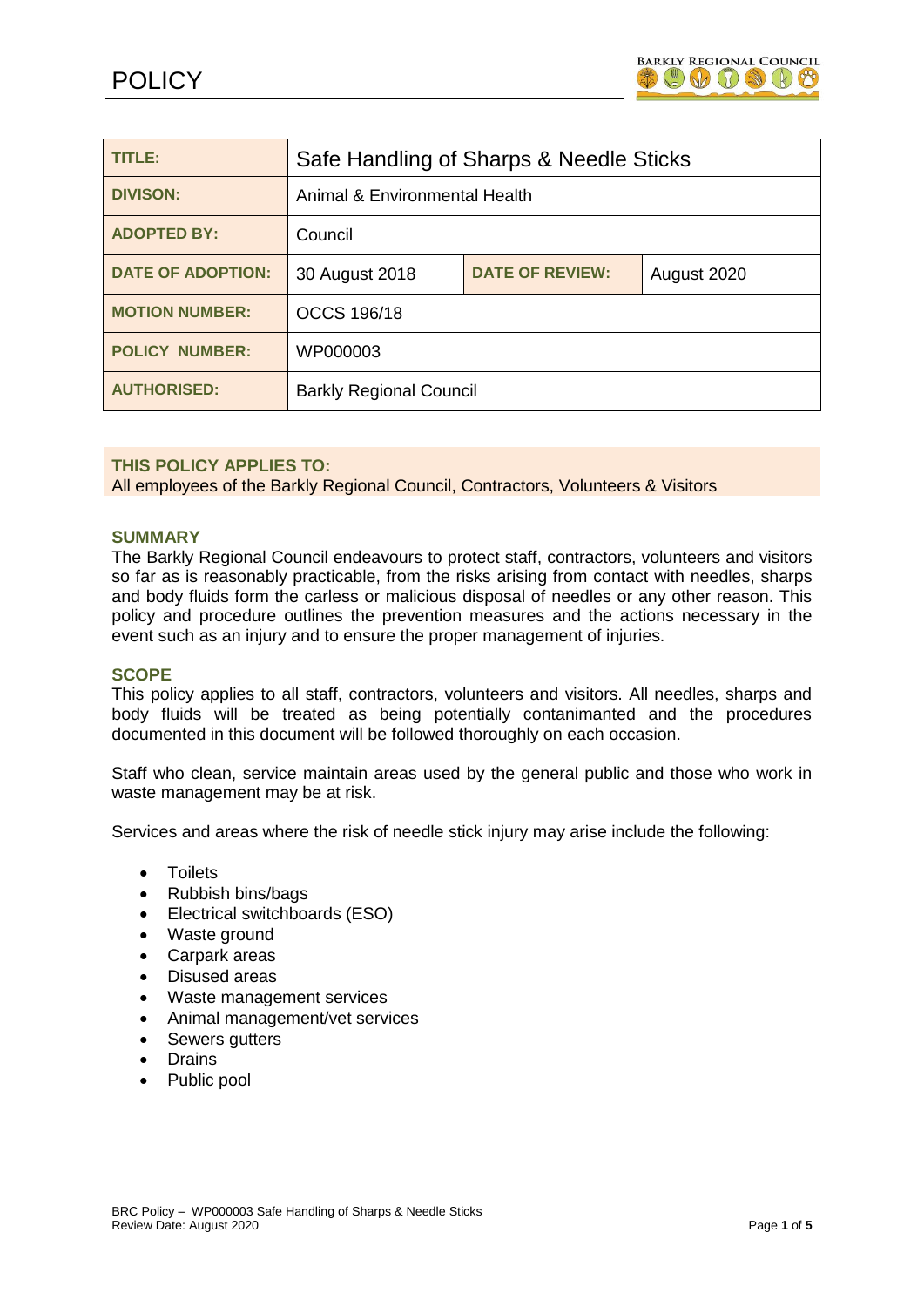

| TITLE:                   | Safe Handling of Sharps & Needle Sticks |                        |             |
|--------------------------|-----------------------------------------|------------------------|-------------|
| <b>DIVISON:</b>          | Animal & Environmental Health           |                        |             |
| <b>ADOPTED BY:</b>       | Council                                 |                        |             |
| <b>DATE OF ADOPTION:</b> | 30 August 2018                          | <b>DATE OF REVIEW:</b> | August 2020 |
| <b>MOTION NUMBER:</b>    | <b>OCCS 196/18</b>                      |                        |             |
| <b>POLICY NUMBER:</b>    | WP000003                                |                        |             |
| <b>AUTHORISED:</b>       | <b>Barkly Regional Council</b>          |                        |             |

#### **THIS POLICY APPLIES TO:**

All employees of the Barkly Regional Council, Contractors, Volunteers & Visitors

# **SUMMARY**

The Barkly Regional Council endeavours to protect staff, contractors, volunteers and visitors so far as is reasonably practicable, from the risks arising from contact with needles, sharps and body fluids form the carless or malicious disposal of needles or any other reason. This policy and procedure outlines the prevention measures and the actions necessary in the event such as an injury and to ensure the proper management of injuries.

#### **SCOPE**

This policy applies to all staff, contractors, volunteers and visitors. All needles, sharps and body fluids will be treated as being potentially contanimanted and the procedures documented in this document will be followed thoroughly on each occasion.

Staff who clean, service maintain areas used by the general public and those who work in waste management may be at risk.

Services and areas where the risk of needle stick injury may arise include the following:

- Toilets
- Rubbish bins/bags
- Electrical switchboards (ESO)
- Waste ground
- Carpark areas
- Disused areas
- Waste management services
- Animal management/vet services
- Sewers gutters
- Drains
- Public pool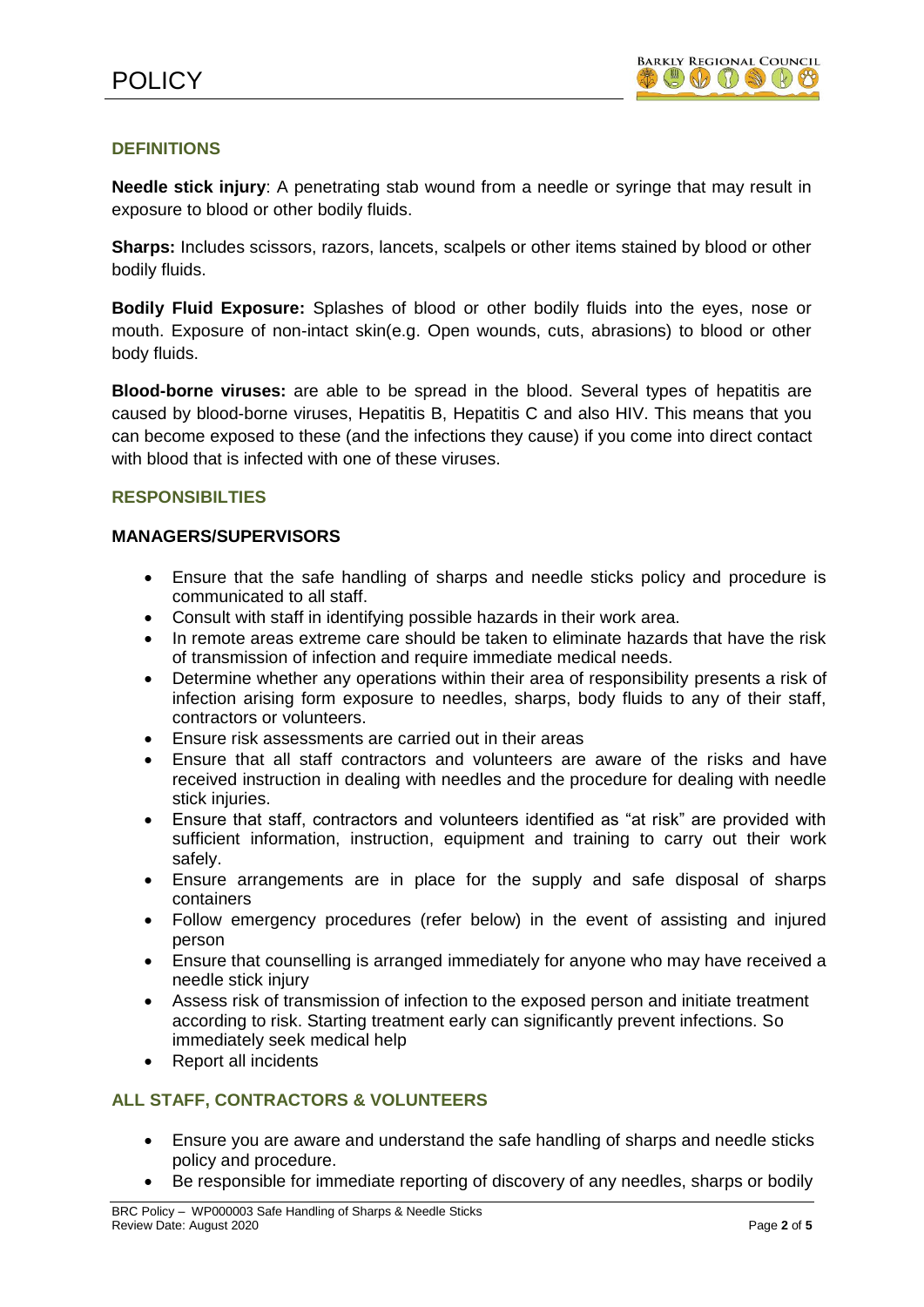# **DEFINITIONS**

**Needle stick injury**: A penetrating stab wound from a needle or syringe that may result in exposure to blood or other bodily fluids.

**Sharps:** Includes scissors, razors, lancets, scalpels or other items stained by blood or other bodily fluids.

**Bodily Fluid Exposure:** Splashes of blood or other bodily fluids into the eyes, nose or mouth. Exposure of non-intact skin(e.g. Open wounds, cuts, abrasions) to blood or other body fluids.

**Blood-borne viruses:** are able to be spread in the blood. Several types of hepatitis are caused by blood-borne viruses, Hepatitis B, Hepatitis C and also HIV. This means that you can become exposed to these (and the infections they cause) if you come into direct contact with blood that is infected with one of these viruses.

#### **RESPONSIBILTIES**

#### **MANAGERS/SUPERVISORS**

- Ensure that the safe handling of sharps and needle sticks policy and procedure is communicated to all staff.
- Consult with staff in identifying possible hazards in their work area.
- In remote areas extreme care should be taken to eliminate hazards that have the risk of transmission of infection and require immediate medical needs.
- Determine whether any operations within their area of responsibility presents a risk of infection arising form exposure to needles, sharps, body fluids to any of their staff, contractors or volunteers.
- Ensure risk assessments are carried out in their areas
- Ensure that all staff contractors and volunteers are aware of the risks and have received instruction in dealing with needles and the procedure for dealing with needle stick injuries.
- Ensure that staff, contractors and volunteers identified as "at risk" are provided with sufficient information, instruction, equipment and training to carry out their work safely.
- Ensure arrangements are in place for the supply and safe disposal of sharps containers
- Follow emergency procedures (refer below) in the event of assisting and injured person
- Ensure that counselling is arranged immediately for anyone who may have received a needle stick injury
- Assess risk of transmission of infection to the exposed person and initiate treatment according to risk. Starting treatment early can significantly prevent infections. So immediately seek medical help
- Report all incidents

# **ALL STAFF, CONTRACTORS & VOLUNTEERS**

- Ensure you are aware and understand the safe handling of sharps and needle sticks policy and procedure.
- Be responsible for immediate reporting of discovery of any needles, sharps or bodily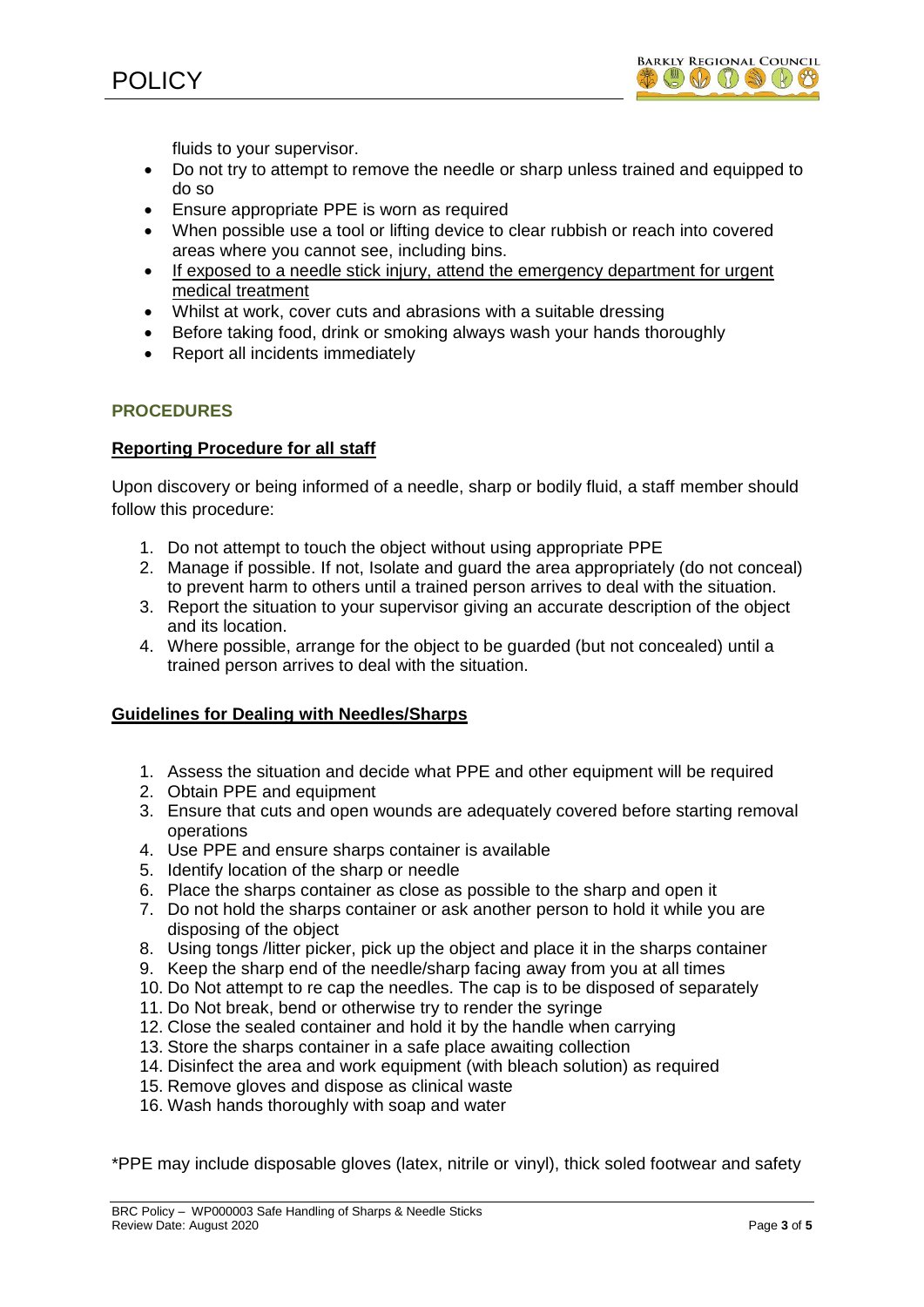



fluids to your supervisor.

- Do not try to attempt to remove the needle or sharp unless trained and equipped to do so
- Ensure appropriate PPE is worn as required
- When possible use a tool or lifting device to clear rubbish or reach into covered areas where you cannot see, including bins.
- If exposed to a needle stick injury, attend the emergency department for urgent medical treatment
- Whilst at work, cover cuts and abrasions with a suitable dressing
- Before taking food, drink or smoking always wash your hands thoroughly
- Report all incidents immediately

# **PROCEDURES**

#### **Reporting Procedure for all staff**

Upon discovery or being informed of a needle, sharp or bodily fluid, a staff member should follow this procedure:

- 1. Do not attempt to touch the object without using appropriate PPE
- 2. Manage if possible. If not, Isolate and guard the area appropriately (do not conceal) to prevent harm to others until a trained person arrives to deal with the situation.
- 3. Report the situation to your supervisor giving an accurate description of the object and its location.
- 4. Where possible, arrange for the object to be guarded (but not concealed) until a trained person arrives to deal with the situation.

#### **Guidelines for Dealing with Needles/Sharps**

- 1. Assess the situation and decide what PPE and other equipment will be required
- 2. Obtain PPE and equipment
- 3. Ensure that cuts and open wounds are adequately covered before starting removal operations
- 4. Use PPE and ensure sharps container is available
- 5. Identify location of the sharp or needle
- 6. Place the sharps container as close as possible to the sharp and open it
- 7. Do not hold the sharps container or ask another person to hold it while you are disposing of the object
- 8. Using tongs /litter picker, pick up the object and place it in the sharps container
- 9. Keep the sharp end of the needle/sharp facing away from you at all times
- 10. Do Not attempt to re cap the needles. The cap is to be disposed of separately
- 11. Do Not break, bend or otherwise try to render the syringe
- 12. Close the sealed container and hold it by the handle when carrying
- 13. Store the sharps container in a safe place awaiting collection
- 14. Disinfect the area and work equipment (with bleach solution) as required
- 15. Remove gloves and dispose as clinical waste
- 16. Wash hands thoroughly with soap and water

\*PPE may include disposable gloves (latex, nitrile or vinyl), thick soled footwear and safety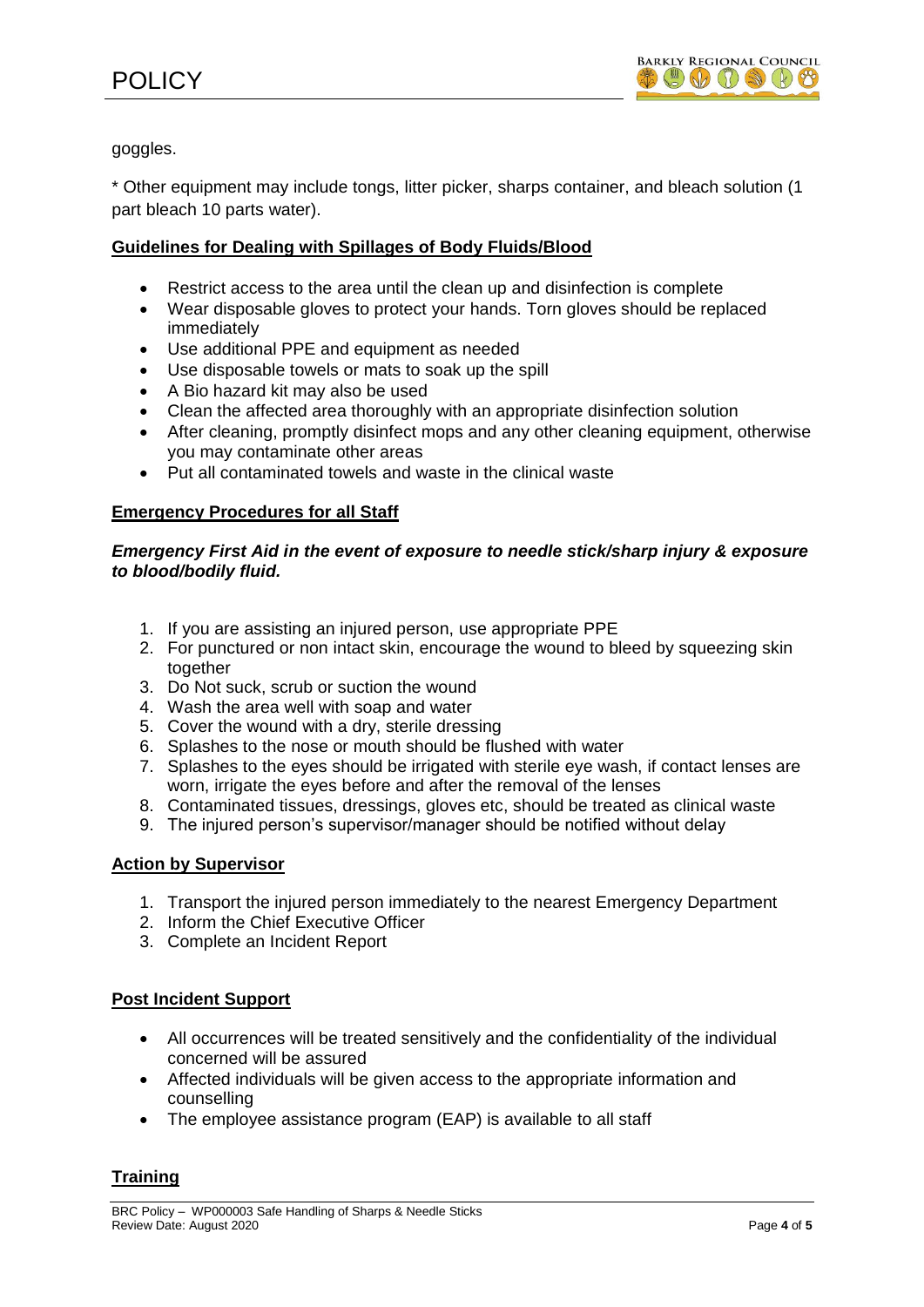goggles.

\* Other equipment may include tongs, litter picker, sharps container, and bleach solution (1 part bleach 10 parts water).

# **Guidelines for Dealing with Spillages of Body Fluids/Blood**

- Restrict access to the area until the clean up and disinfection is complete
- Wear disposable gloves to protect your hands. Torn gloves should be replaced immediately
- Use additional PPE and equipment as needed
- Use disposable towels or mats to soak up the spill
- A Bio hazard kit may also be used
- Clean the affected area thoroughly with an appropriate disinfection solution
- After cleaning, promptly disinfect mops and any other cleaning equipment, otherwise you may contaminate other areas
- Put all contaminated towels and waste in the clinical waste

# **Emergency Procedures for all Staff**

# *Emergency First Aid in the event of exposure to needle stick/sharp injury & exposure to blood/bodily fluid.*

- 1. If you are assisting an injured person, use appropriate PPE
- 2. For punctured or non intact skin, encourage the wound to bleed by squeezing skin together
- 3. Do Not suck, scrub or suction the wound
- 4. Wash the area well with soap and water
- 5. Cover the wound with a dry, sterile dressing
- 6. Splashes to the nose or mouth should be flushed with water
- 7. Splashes to the eyes should be irrigated with sterile eye wash, if contact lenses are worn, irrigate the eyes before and after the removal of the lenses
- 8. Contaminated tissues, dressings, gloves etc, should be treated as clinical waste
- 9. The injured person's supervisor/manager should be notified without delay

# **Action by Supervisor**

- 1. Transport the injured person immediately to the nearest Emergency Department
- 2. Inform the Chief Executive Officer
- 3. Complete an Incident Report

# **Post Incident Support**

- All occurrences will be treated sensitively and the confidentiality of the individual concerned will be assured
- Affected individuals will be given access to the appropriate information and counselling
- The employee assistance program (EAP) is available to all staff

# **Training**